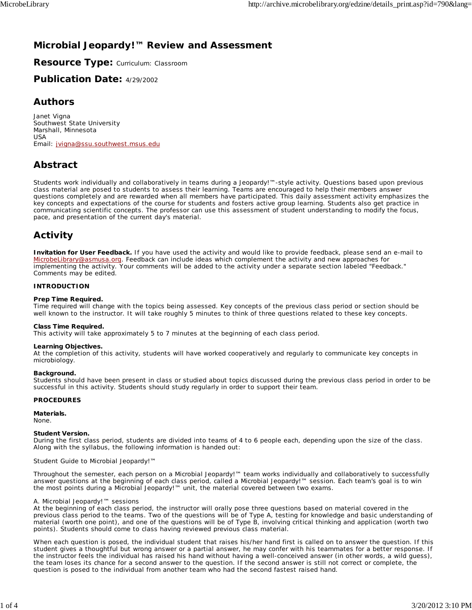# **Microbial Jeopardy!™ Review and Assessment**

**Resource Type:** Curriculum: Classroom

**Publication Date:** 4/29/2002

## **Authors**

*Janet Vigna* Southwest State University Marshall, Minnesota USA Email: jvigna@ssu.southwest.msus.edu

# **Abstract**

Students work individually and collaboratively in teams during a Jeopardy!™-style activity. Questions based upon previous class material are posed to students to assess their learning. Teams are encouraged to help their members answer questions completely and are rewarded when all members have participated. This daily assessment activity emphasizes the key concepts and expectations of the course for students and fosters active group learning. Students also get practice in communicating scientific concepts. The professor can use this assessment of student understanding to modify the focus, pace, and presentation of the current day's material.

# **Activity**

**Invitation for User Feedback.** If you have used the activity and would like to provide feedback, please send an e-mail to MicrobeLibrary@asmusa.org. Feedback can include ideas which complement the activity and new approaches for implementing the activity. Your comments will be added to the activity under a separate section labeled "Feedback." Comments may be edited.

## **INTRODUCTION**

## **Prep Time Required.**

Time required will change with the topics being assessed. Key concepts of the previous class period or section should be well known to the instructor. It will take roughly 5 minutes to think of three questions related to these key concepts.

## **Class Time Required.**

This activity will take approximately 5 to 7 minutes at the beginning of each class period.

## **Learning Objectives.**

At the completion of this activity, students will have worked cooperatively and regularly to communicate key concepts in microbiology.

## **Background.**

Students should have been present in class or studied about topics discussed during the previous class period in order to be successful in this activity. Students should study regularly in order to support their team.

## **PROCEDURES**

**Materials.**

None.

#### **Student Version.**

During the first class period, students are divided into teams of 4 to 6 people each, depending upon the size of the class. Along with the syllabus, the following information is handed out:

#### Student Guide to Microbial Jeopardy!™

Throughout the semester, each person on a Microbial Jeopardy!™ team works individually and collaboratively to successfully answer questions at the beginning of each class period, called a Microbial Jeopardy!™ session. Each team's goal is to win the most points during a Microbial Jeopardy!™ unit, the material covered between two exams.

#### A. *Microbial Jeopardy!™ sessions*

At the beginning of each class period, the instructor will orally pose three questions based on material covered in the previous class period to the teams. Two of the questions will be of Type A, testing for knowledge and basic understanding of material (worth one point), and one of the questions will be of Type B, involving critical thinking and application (worth two points). Students should come to class having reviewed previous class material.

When each question is posed, the individual student that raises his/her hand first is called on to answer the question. If this student gives a thoughtful but wrong answer or a partial answer, he may confer with his teammates for a better response. If the instructor feels the individual has raised his hand without having a well-conceived answer (in other words, a wild guess), the team loses its chance for a second answer to the question. If the second answer is still not correct or complete, the question is posed to the individual from another team who had the second fastest raised hand.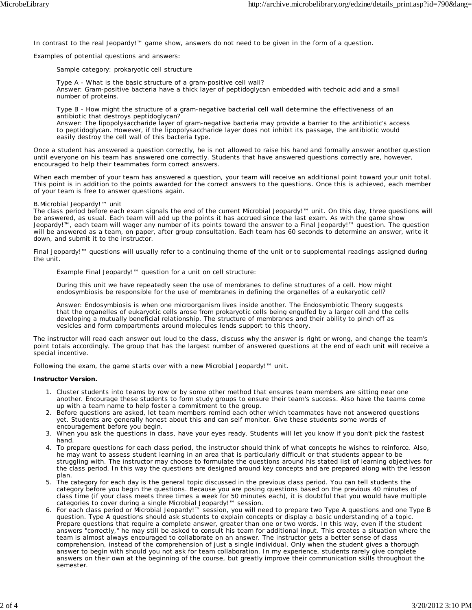In contrast to the real Jeopardy!™ game show, answers do not need to be given in the form of a question.

Examples of potential questions and answers:

Sample category: prokaryotic cell structure

*Type A* - What is the basic structure of a gram-positive cell wall? *Answer*: Gram-positive bacteria have a thick layer of peptidoglycan embedded with techoic acid and a small number of proteins.

*Type B* - How might the structure of a gram-negative bacterial cell wall determine the effectiveness of an antibiotic that destroys peptidoglycan?

*Answer*: The lipopolysaccharide layer of gram-negative bacteria may provide a barrier to the antibiotic's access to peptidoglycan. However, if the lipopolysaccharide layer does not inhibit its passage, the antibiotic would easily destroy the cell wall of this bacteria type.

Once a student has answered a question correctly, he is not allowed to raise his hand and formally answer another question until everyone on his team has answered one correctly. Students that have answered questions correctly are, however, encouraged to help their teammates form correct answers.

When each member of your team has answered a question, your team will receive an additional point toward your unit total. This point is in addition to the points awarded for the correct answers to the questions. Once this is achieved, each member of your team is free to answer questions again.

#### B.*Microbial Jeopardy!™ unit*

The class period before each exam signals the end of the current Microbial Jeopardy!™ unit. On this day, three questions will be answered, as usual. Each team will add up the points it has accrued since the last exam. As with the game show Jeopardy!™, each team will wager any number of its points toward the answer to a Final Jeopardy!™ question. The question will be answered as a team, on paper, after group consultation. Each team has 60 seconds to determine an answer, write it down, and submit it to the instructor.

Final Jeopardy!™ questions will usually refer to a continuing theme of the unit or to supplemental readings assigned during the unit.

Example Final Jeopardy!™ question for a unit on cell structure:

During this unit we have repeatedly seen the use of membranes to define structures of a cell. How might endosymbiosis be responsible for the use of membranes in defining the organelles of a eukaryotic cell?

*Answer*: Endosymbiosis is when one microorganism lives inside another. The Endosymbiotic Theory suggests that the organelles of eukaryotic cells arose from prokaryotic cells being engulfed by a larger cell and the cells developing a mutually beneficial relationship. The structure of membranes and their ability to pinch off as vesicles and form compartments around molecules lends support to this theory.

The instructor will read each answer out loud to the class, discuss why the answer is right or wrong, and change the team's point totals accordingly. The group that has the largest number of answered questions at the end of each unit will receive a special incentive.

Following the exam, the game starts over with a new Microbial Jeopardy!™ unit.

#### **Instructor Version.**

- 1. Cluster students into teams by row or by some other method that ensures team members are sitting near one another. Encourage these students to form study groups to ensure their team's success. Also have the teams come up with a team name to help foster a commitment to the group.
- 2. Before questions are asked, let team members remind each other which teammates have not answered questions yet. Students are generally honest about this and can self monitor. Give these students some words of encouragement before you begin.
- 3. When you ask the questions in class, have your eyes ready. Students will let you know if you don't pick the fastest hand.
- 4. To prepare questions for each class period, the instructor should think of what concepts he wishes to reinforce. Also, he may want to assess student learning in an area that is particularly difficult or that students appear to be struggling with. The instructor may choose to formulate the questions around his stated list of learning objectives for the class period. In this way the questions are designed around key concepts and are prepared along with the lesson plan.
- 5. The category for each day is the general topic discussed in the previous class period. You can tell students the category before you begin the questions. Because you are posing questions based on the previous 40 minutes of class time (if your class meets three times a week for 50 minutes each), it is doubtful that you would have multiple categories to cover during a single Microbial Jeopardy!™ session.
- 6. For each class period or Microbial Jeopardy!™ session, you will need to prepare two Type A questions and one Type B question. Type A questions should ask students to explain concepts or display a basic understanding of a topic. Prepare questions that require a complete answer, greater than one or two words. In this way, even if the student answers "correctly," he may still be asked to consult his team for additional input. This creates a situation where the team is almost always encouraged to collaborate on an answer. The instructor gets a better sense of class comprehension, instead of the comprehension of just a single individual. Only when the student gives a thorough answer to begin with should you not ask for team collaboration. In my experience, students rarely give complete answers on their own at the beginning of the course, but greatly improve their communication skills throughout the semester.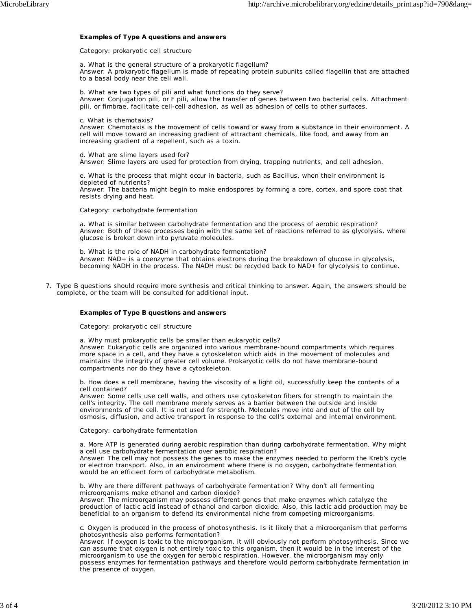#### **Examples of Type A questions and answers**

#### *Category: prokaryotic cell structure*

a. What is the general structure of a prokaryotic flagellum? *Answer*: A prokaryotic flagellum is made of repeating protein subunits called flagellin that are attached to a basal body near the cell wall.

b. What are two types of pili and what functions do they serve? *Answer*: Conjugation pili, or F pili, allow the transfer of genes between two bacterial cells. Attachment pili, or fimbrae, facilitate cell-cell adhesion, as well as adhesion of cells to other surfaces.

c. What is chemotaxis?

*Answer*: Chemotaxis is the movement of cells toward or away from a substance in their environment. A cell will move toward an increasing gradient of attractant chemicals, like food, and away from an increasing gradient of a repellent, such as a toxin.

d. What are slime layers used for? *Answer*: Slime layers are used for protection from drying, trapping nutrients, and cell adhesion.

e. What is the process that might occur in bacteria, such as *Bacillus*, when their environment is depleted of nutrients? *Answer*: The bacteria might begin to make endospores by forming a core, cortex, and spore coat that

resists drying and heat.

#### *Category: carbohydrate fermentation*

a. What is similar between carbohydrate fermentation and the process of aerobic respiration? *Answer*: Both of these processes begin with the same set of reactions referred to as glycolysis, where glucose is broken down into pyruvate molecules.

b. What is the role of NADH in carbohydrate fermentation? *Answer*: NAD+ is a coenzyme that obtains electrons during the breakdown of glucose in glycolysis, becoming NADH in the process. The NADH must be recycled back to NAD+ for glycolysis to continue.

7. Type B questions should require more synthesis and critical thinking to answer. Again, the answers should be complete, or the team will be consulted for additional input.

#### **Examples of Type B questions and answers**

#### *Category: prokaryotic cell structure*

a. Why must prokaryotic cells be smaller than eukaryotic cells? *Answer*: Eukaryotic cells are organized into various membrane-bound compartments which requires more space in a cell, and they have a cytoskeleton which aids in the movement of molecules and maintains the integrity of greater cell volume. Prokaryotic cells do not have membrane-bound compartments nor do they have a cytoskeleton.

b. How does a cell membrane, having the viscosity of a light oil, successfully keep the contents of a cell contained?

*Answer*: Some cells use cell walls, and others use cytoskeleton fibers for strength to maintain the cell's integrity. The cell membrane merely serves as a barrier between the outside and inside environments of the cell. It is not used for strength. Molecules move into and out of the cell by osmosis, diffusion, and active transport in response to the cell's external and internal environment.

#### *Category: carbohydrate fermentation*

a. More ATP is generated during aerobic respiration than during carbohydrate fermentation. Why might a cell use carbohydrate fermentation over aerobic respiration? *Answer*: The cell may not possess the genes to make the enzymes needed to perform the Kreb's cycle or electron transport. Also, in an environment where there is no oxygen, carbohydrate fermentation

would be an efficient form of carbohydrate metabolism. b. Why are there different pathways of carbohydrate fermentation? Why don't all fermenting microorganisms make ethanol and carbon dioxide?

*Answer*: The microorganism may possess different genes that make enzymes which catalyze the production of lactic acid instead of ethanol and carbon dioxide. Also, this lactic acid production may be beneficial to an organism to defend its environmental niche from competing microorganisms.

c. Oxygen is produced in the process of photosynthesis. Is it likely that a microorganism that performs photosynthesis also performs fermentation?

*Answer*: If oxygen is toxic to the microorganism, it will obviously not perform photosynthesis. Since we can assume that oxygen is not entirely toxic to this organism, then it would be in the interest of the microorganism to use the oxygen for aerobic respiration. However, the microorganism may only possess enzymes for fermentation pathways and therefore would perform carbohydrate fermentation in .<br>the presence of oxygen.